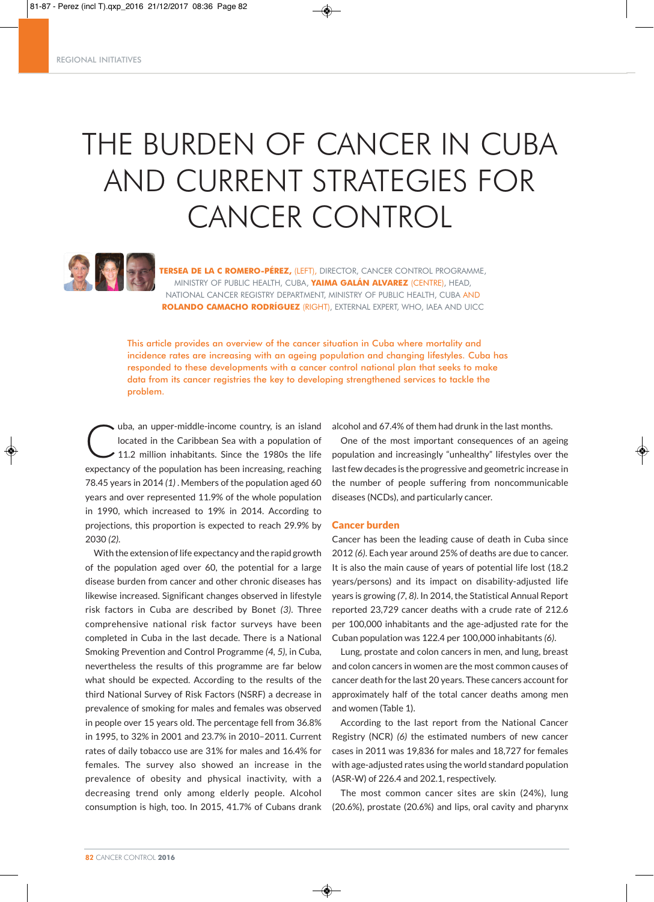# THE BURDEN OF CANCER IN CUBA AND CURRENT STRATEGIES FOR CANCER CONTROL



**TERSEA DE LA C ROMERO-PÉREZ,** (LEFT), DIRECTOR, CANCER CONTROL PROGRAMME, MINISTRY OF PUBLIC HEALTH, CUBA, **YAIMA GALÁN ALVAREZ** (CENTRE), HEAD, NATIONAL CANCER REGISTRY DEPARTMENT, MINISTRY OF PUBLIC HEALTH, CUBA AND **ROLANDO CAMACHO RODRÍGUEZ** (RIGHT), EXTERNAL EXPERT, WHO, IAEA AND UICC

This article provides an overview of the cancer situation in Cuba where mortality and incidence rates are increasing with an ageing population and changing lifestyles. Cuba has responded to these developments with a cancer control national plan that seeks to make data from its cancer registries the key to developing strengthened services to tackle the problem.

wha, an upper-middle-income country, is an island<br>located in the Caribbean Sea with a population of<br>11.2 million inhabitants. Since the 1980s the life located in the Caribbean Sea with a population of ◆ 11.2 million inhabitants. Since the 1980s the life expectancy of the population has been increasing, reaching 78.45 years in 2014 *(1)* . Members of the population aged 60 years and over represented 11.9% of the whole population in 1990, which increased to 19% in 2014. According to projections, this proportion is expected to reach 29.9% by 2030 *(2)*.

With the extension of life expectancy and the rapid growth of the population aged over 60, the potential for a large disease burden from cancer and other chronic diseases has likewise increased. Significant changes observed in lifestyle risk factors in Cuba are described by Bonet *(3)*. Three comprehensive national risk factor surveys have been completed in Cuba in the last decade. There is a National Smoking Prevention and Control Programme *(4, 5)*, in Cuba, nevertheless the results of this programme are far below what should be expected. According to the results of the third National Survey of Risk Factors (NSRF) a decrease in prevalence of smoking for males and females was observed in people over 15 years old. The percentage fell from 36.8% in 1995, to 32% in 2001 and 23.7% in 2010–2011. Current rates of daily tobacco use are 31% for males and 16.4% for females. The survey also showed an increase in the prevalence of obesity and physical inactivity, with a decreasing trend only among elderly people. Alcohol consumption is high, too. In 2015, 41.7% of Cubans drank alcohol and 67.4% of them had drunk in the last months.

One of the most important consequences of an ageing population and increasingly "unhealthy" lifestyles over the last few decades is the progressive and geometric increase in the number of people suffering from noncommunicable diseases (NCDs), and particularly cancer.

#### Cancer burden

◈

Cancer has been the leading cause of death in Cuba since 2012 *(6)*. Each year around 25% of deaths are due to cancer. It is also the main cause of years of potential life lost (18.2 years/persons) and its impact on disability-adjusted life years is growing *(7, 8)*. In 2014, the Statistical Annual Report reported 23,729 cancer deaths with a crude rate of 212.6 per 100,000 inhabitants and the age-adjusted rate for the Cuban population was 122.4 per 100,000 inhabitants *(6)*.

Lung, prostate and colon cancers in men, and lung, breast and colon cancers in women are the most common causes of cancer death for the last 20 years. These cancers account for approximately half of the total cancer deaths among men and women (Table 1).

According to the last report from the National Cancer Registry (NCR) *(6)* the estimated numbers of new cancer cases in 2011 was 19,836 for males and 18,727 for females with age-adjusted rates using the world standard population (ASR-W) of 226.4 and 202.1, respectively.

The most common cancer sites are skin (24%), lung (20.6%), prostate (20.6%) and lips, oral cavity and pharynx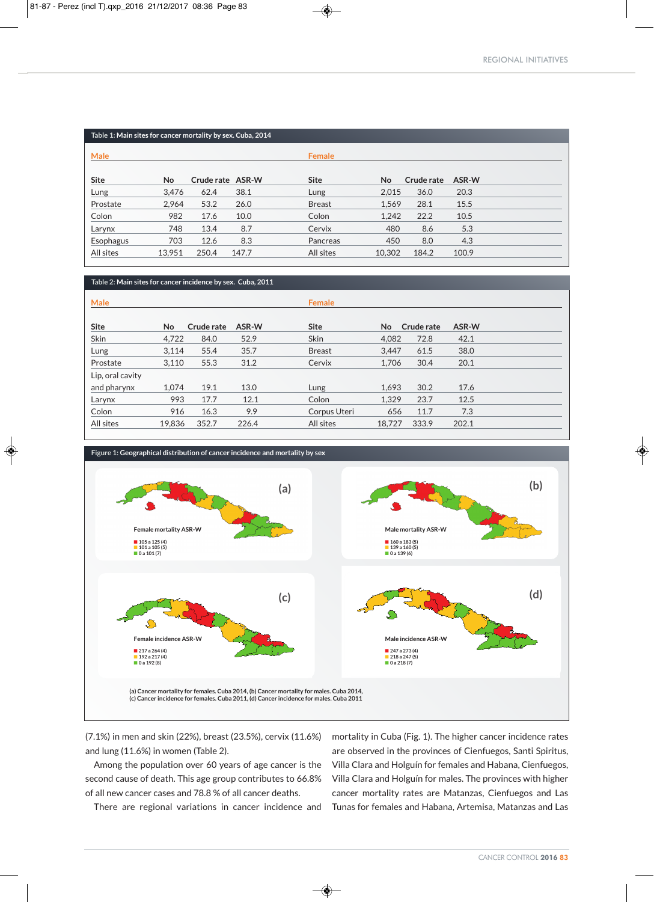| Table 1: Main sites for cancer mortality by sex. Cuba, 2014 |        |                  |       |               |        |            |       |  |
|-------------------------------------------------------------|--------|------------------|-------|---------------|--------|------------|-------|--|
| Male                                                        |        |                  |       | <b>Female</b> |        |            |       |  |
| Site                                                        | No     | Crude rate ASR-W |       | <b>Site</b>   | No     | Crude rate | ASR-W |  |
| Lung                                                        | 3,476  | 62.4             | 38.1  | Lung          | 2,015  | 36.0       | 20.3  |  |
| Prostate                                                    | 2,964  | 53.2             | 26.0  | <b>Breast</b> | 1,569  | 28.1       | 15.5  |  |
| Colon                                                       | 982    | 17.6             | 10.0  | Colon         | 1,242  | 22.2       | 10.5  |  |
| Larynx                                                      | 748    | 13.4             | 8.7   | Cervix        | 480    | 8.6        | 5.3   |  |
| Esophagus                                                   | 703    | 12.6             | 8.3   | Pancreas      | 450    | 8.0        | 4.3   |  |
| All sites                                                   | 13,951 | 250.4            | 147.7 | All sites     | 10,302 | 184.2      | 100.9 |  |

◈

## **Table 2: Main sites for cancer incidence by sex. Cuba, 2011**

| Male             |           |            |       | <b>Female</b> |        |            |       |  |
|------------------|-----------|------------|-------|---------------|--------|------------|-------|--|
| Site             | <b>No</b> | Crude rate | ASR-W | <b>Site</b>   | No.    | Crude rate | ASR-W |  |
| Skin             | 4,722     | 84.0       | 52.9  | <b>Skin</b>   | 4,082  | 72.8       | 42.1  |  |
| Lung             | 3,114     | 55.4       | 35.7  | <b>Breast</b> | 3,447  | 61.5       | 38.0  |  |
| Prostate         | 3,110     | 55.3       | 31.2  | Cervix        | 1,706  | 30.4       | 20.1  |  |
| Lip, oral cavity |           |            |       |               |        |            |       |  |
| and pharynx      | 1,074     | 19.1       | 13.0  | Lung          | 1.693  | 30.2       | 17.6  |  |
| Larynx           | 993       | 17.7       | 12.1  | Colon         | 1,329  | 23.7       | 12.5  |  |
| Colon            | 916       | 16.3       | 9.9   | Corpus Uteri  | 656    | 11.7       | 7.3   |  |
| All sites        | 19,836    | 352.7      | 226.4 | All sites     | 18,727 | 333.9      | 202.1 |  |



 $\circledast$ 



◈

(7.1%) in men and skin (22%), breast (23.5%), cervix (11.6%) and lung (11.6%) in women (Table 2).

Among the population over 60 years of age cancer is the second cause of death. This age group contributes to 66.8% of all new cancer cases and 78.8 % of all cancer deaths.

There are regional variations in cancer incidence and

mortality in Cuba (Fig. 1). The higher cancer incidence rates are observed in the provinces of Cienfuegos, Santi Spiritus, Villa Clara and Holguín for females and Habana, Cienfuegos, Villa Clara and Holguín for males. The provinces with higher cancer mortality rates are Matanzas, Cienfuegos and Las Tunas for females and Habana, Artemisa, Matanzas and Las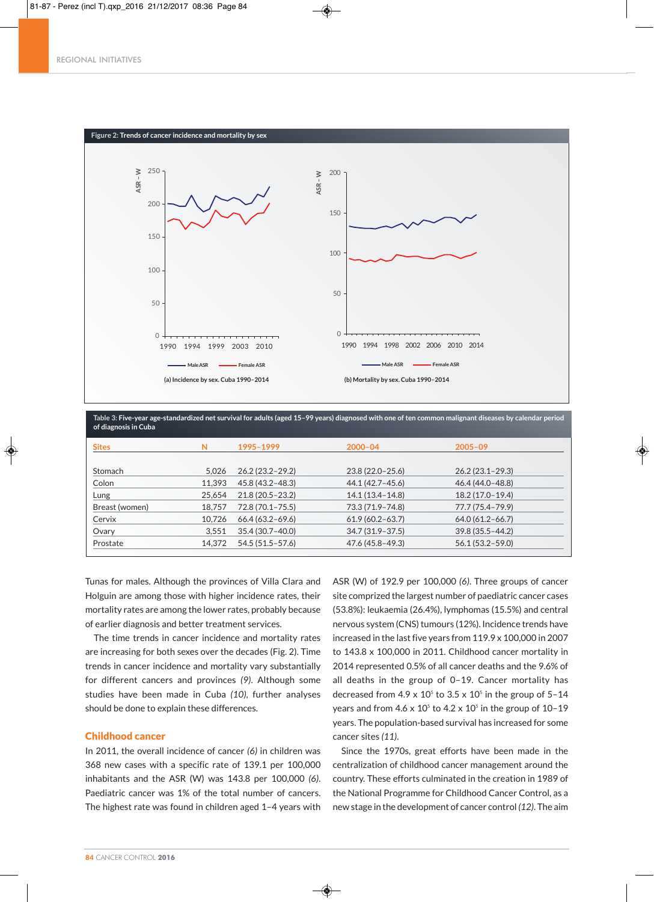

Femenino



Table 3: Five-year age-standardized net survival for adults (aged 15-99 years) diagnosed with one of ten common malignant diseases by calendar period **of diagnosis in Cuba**

| <b>Sites</b>   | N      | 1995-1999           | $2000 - 04$         | $2005 - 09$         |
|----------------|--------|---------------------|---------------------|---------------------|
|                |        |                     |                     |                     |
| Stomach        | 5.026  | $26.2(23.2 - 29.2)$ | $23.8(22.0-25.6)$   | $26.2(23.1 - 29.3)$ |
| Colon          | 11.393 | 45.8 (43.2-48.3)    | 44.1 (42.7 – 45.6)  | 46.4 (44.0-48.8)    |
| Lung           | 25.654 | $21.8(20.5 - 23.2)$ | $14.1(13.4 - 14.8)$ | $18.2(17.0-19.4)$   |
| Breast (women) | 18.757 | 72.8 (70.1-75.5)    | 73.3 (71.9-74.8)    | 77.7 (75.4-79.9)    |
| Cervix         | 10,726 | $66.4(63.2 - 69.6)$ | $61.9(60.2 - 63.7)$ | $64.0(61.2 - 66.7)$ |
| Ovary          | 3.551  | 35.4 (30.7-40.0)    | $34.7(31.9-37.5)$   | $39.8(35.5 - 44.2)$ |
| Prostate       | 14.372 | 54.5 (51.5-57.6)    | 47.6 (45.8-49.3)    | $56.1(53.2 - 59.0)$ |

◈

Tunas for males. Although the provinces of Villa Clara and Holguin are among those with higher incidence rates, their mortality rates are among the lower rates, probably because of earlier diagnosis and better treatment services.

The time trends in cancer incidence and mortality rates are increasing for both sexes over the decades (Fig. 2). Time trends in cancer incidence and mortality vary substantially for different cancers and provinces *(9)*. Although some studies have been made in Cuba *(10),* further analyses should be done to explain these differences.

### Childhood cancer

In 2011, the overall incidence of cancer *(6)* in children was 368 new cases with a specific rate of 139.1 per 100,000 inhabitants and the ASR (W) was 143.8 per 100,000 *(6)*. Paediatric cancer was 1% of the total number of cancers. The highest rate was found in children aged 1–4 years with ASR (W) of 192.9 per 100,000 *(6)*. Three groups of cancer site comprized the largest number of paediatric cancer cases (53.8%): leukaemia (26.4%), lymphomas (15.5%) and central nervous system (CNS) tumours (12%). Incidence trends have increased in the last five years from 119.9 x 100,000 in 2007 to 143.8 x 100,000 in 2011. Childhood cancer mortality in 2014 represented 0.5% of all cancer deaths and the 9.6% of all deaths in the group of 0–19. Cancer mortality has decreased from  $4.9 \times 10^5$  to  $3.5 \times 10^5$  in the group of  $5-14$ years and from  $4.6 \times 10^5$  to  $4.2 \times 10^5$  in the group of 10-19 years. The population-based survival has increased for some cancer sites *(11)*.

Since the 1970s, great efforts have been made in the centralization of childhood cancer management around the country. These efforts culminated in the creation in 1989 of the National Programme for Childhood Cancer Control, as a new stage in the development of cancer control *(12)*. The aim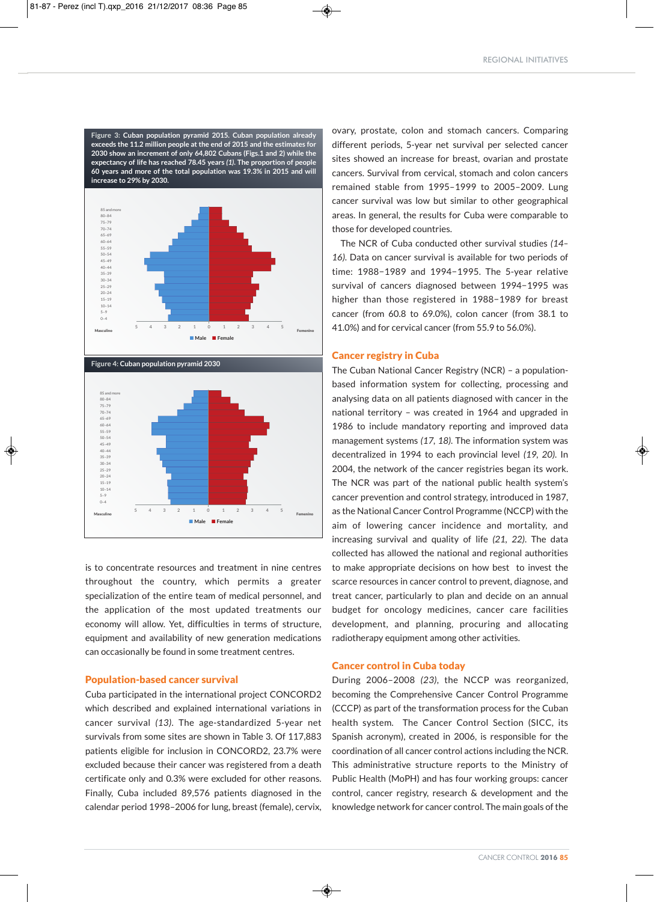**Figure 3: Cuban population pyramid 2015. Cuban population already exceeds the 11.2 million people at the end of 2015 and the estimates for 2030 show an increment of only 64,802 Cubans (Figs.1 and 2) while the expectancy of life has reached 78.45 years** *(1)***. The proportion of people 60 years and more of the total population was 19.3% in 2015 and will increase to 29% by 2030.**



**Figure 4: Cuban population pyramid 2030**



is to concentrate resources and treatment in nine centres throughout the country, which permits a greater specialization of the entire team of medical personnel, and the application of the most updated treatments our economy will allow. Yet, difficulties in terms of structure, equipment and availability of new generation medications can occasionally be found in some treatment centres.

#### Population-based cancer survival

Cuba participated in the international project CONCORD2 which described and explained international variations in cancer survival *(13)*. The age-standardized 5-year net survivals from some sites are shown in Table 3. Of 117,883 patients eligible for inclusion in CONCORD2, 23.7% were excluded because their cancer was registered from a death certificate only and 0.3% were excluded for other reasons. Finally, Cuba included 89,576 patients diagnosed in the calendar period 1998–2006 for lung, breast (female), cervix,

ovary, prostate, colon and stomach cancers. Comparing different periods, 5-year net survival per selected cancer sites showed an increase for breast, ovarian and prostate cancers. Survival from cervical, stomach and colon cancers remained stable from 1995–1999 to 2005–2009. Lung cancer survival was low but similar to other geographical areas. In general, the results for Cuba were comparable to those for developed countries.

The NCR of Cuba conducted other survival studies *(14– 16)*. Data on cancer survival is available for two periods of time: 1988−1989 and 1994−1995. The 5-year relative survival of cancers diagnosed between 1994−1995 was higher than those registered in 1988−1989 for breast cancer (from 60.8 to 69.0%), colon cancer (from 38.1 to 41.0%) and for cervical cancer (from 55.9 to 56.0%).

#### Cancer registry in Cuba

The Cuban National Cancer Registry (NCR) – a populationbased information system for collecting, processing and analysing data on all patients diagnosed with cancer in the national territory – was created in 1964 and upgraded in 1986 to include mandatory reporting and improved data management systems *(17, 18)*. The information system was decentralized in 1994 to each provincial level *(19, 20)*. In 2004, the network of the cancer registries began its work. The NCR was part of the national public health system's cancer prevention and control strategy, introduced in 1987, as the National Cancer Control Programme (NCCP) with the aim of lowering cancer incidence and mortality, and increasing survival and quality of life *(21, 22)*. The data collected has allowed the national and regional authorities to make appropriate decisions on how best to invest the scarce resources in cancer control to prevent, diagnose, and treat cancer, particularly to plan and decide on an annual budget for oncology medicines, cancer care facilities development, and planning, procuring and allocating radiotherapy equipment among other activities.

#### Cancer control in Cuba today

◈

During 2006-2008 (23), the NCCP was reorganized, becoming the Comprehensive Cancer Control Programme (CCCP) as part of the transformation process for the Cuban health system. The Cancer Control Section (SICC, its Spanish acronym), created in 2006, is responsible for the coordination of all cancer control actions including the NCR. This administrative structure reports to the Ministry of Public Health (MoPH) and has four working groups: cancer control, cancer registry, research & development and the knowledge network for cancer control. The main goals of the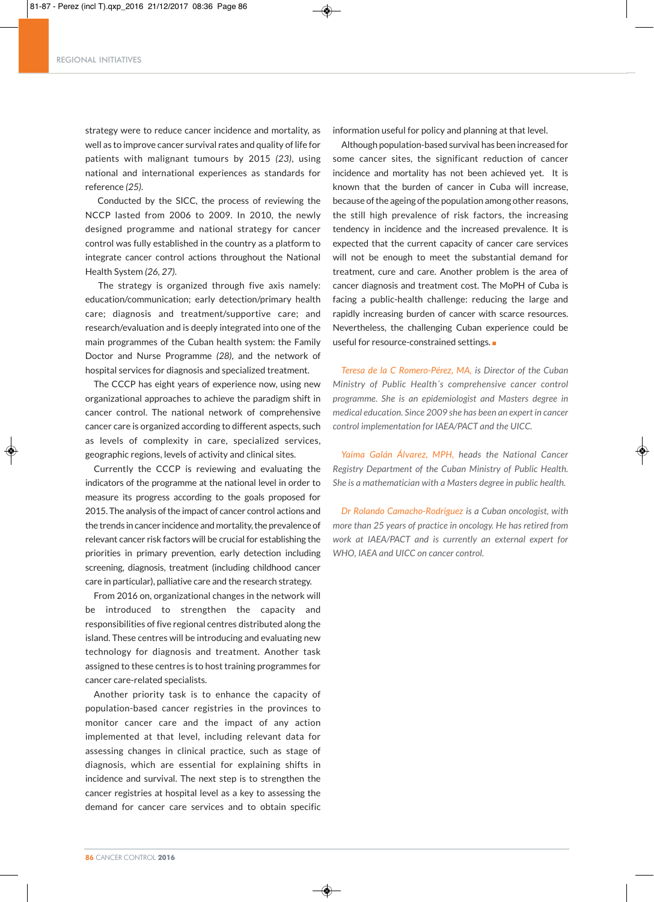#### REGIONAL INITIATIVES

strategy were to reduce cancer incidence and mortality, as well as to improve cancer survival rates and quality of life for patients with malignant tumours by 2015 *(23)*, using national and international experiences as standards for reference *(25)*.

Conducted by the SICC, the process of reviewing the NCCP lasted from 2006 to 2009. In 2010, the newly designed programme and national strategy for cancer control was fully established in the country as a platform to integrate cancer control actions throughout the National Health System *(26, 27)*.

The strategy is organized through five axis namely: education/communication; early detection/primary health care; diagnosis and treatment/supportive care; and research/evaluation and is deeply integrated into one of the main programmes of the Cuban health system: the Family Doctor and Nurse Programme *(28)*, and the network of hospital services for diagnosis and specialized treatment.

The CCCP has eight years of experience now, using new organizational approaches to achieve the paradigm shift in cancer control. The national network of comprehensive cancer care is organized according to different aspects, such as levels of complexity in care, specialized services, geographic regions, levels of activity and clinical sites.

Currently the CCCP is reviewing and evaluating the indicators of the programme at the national level in order to measure its progress according to the goals proposed for 2015. The analysis of the impact of cancer control actions and the trends in cancer incidence and mortality, the prevalence of relevant cancer risk factors will be crucial for establishing the priorities in primary prevention, early detection including screening, diagnosis, treatment (including childhood cancer care in particular), palliative care and the research strategy.

From 2016 on, organizational changes in the network will be introduced to strengthen the capacity and responsibilities of five regional centres distributed along the island. These centres will be introducing and evaluating new technology for diagnosis and treatment. Another task assigned to these centres is to host training programmes for cancer care-related specialists.

Another priority task is to enhance the capacity of population-based cancer registries in the provinces to monitor cancer care and the impact of any action implemented at that level, including relevant data for assessing changes in clinical practice, such as stage of diagnosis, which are essential for explaining shifts in incidence and survival. The next step is to strengthen the cancer registries at hospital level as a key to assessing the demand for cancer care services and to obtain specific

◈

information useful for policy and planning at that level.

Although population-based survival has been increased for some cancer sites, the significant reduction of cancer incidence and mortality has not been achieved yet. It is known that the burden of cancer in Cuba will increase, because of the ageing of the population among other reasons, the still high prevalence of risk factors, the increasing tendency in incidence and the increased prevalence. It is expected that the current capacity of cancer care services will not be enough to meet the substantial demand for treatment, cure and care. Another problem is the area of cancer diagnosis and treatment cost. The MoPH of Cuba is facing a public-health challenge: reducing the large and rapidly increasing burden of cancer with scarce resources. Nevertheless, the challenging Cuban experience could be useful for resource-constrained settings.

*Teresa de la C Romero-Pérez, MA, is Director of the Cuban Ministry of Public Health´s comprehensive cancer control programme. She is an epidemiologist and Masters degree in medical education. Since 2009 she has been an expert in cancer control implementation for IAEA/PACT and the UICC.*

*Yaima Galán Álvarez, MPH, heads the National Cancer Registry Department of the Cuban Ministry of Public Health. She is a mathematician with a Masters degree in public health.*

*Dr Rolando Camacho-Rodriguez is a Cuban oncologist, with more than 25 years of practice in oncology. He has retired from work at IAEA/PACT and is currently an external expert for WHO, IAEA and UICC on cancer control.*